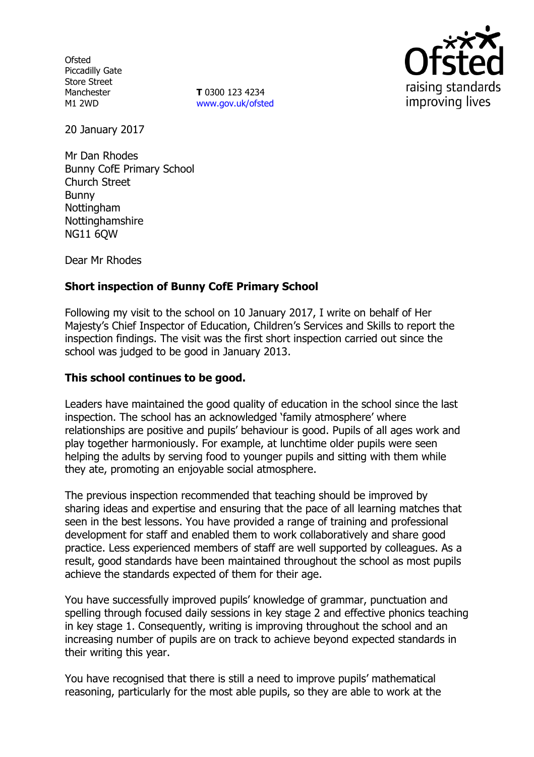**Ofsted** Piccadilly Gate Store Street Manchester M1 2WD

**T** 0300 123 4234 www.gov.uk/ofsted



20 January 2017

Mr Dan Rhodes Bunny CofE Primary School Church Street Bunny Nottingham Nottinghamshire NG11 6QW

Dear Mr Rhodes

# **Short inspection of Bunny CofE Primary School**

Following my visit to the school on 10 January 2017, I write on behalf of Her Majesty's Chief Inspector of Education, Children's Services and Skills to report the inspection findings. The visit was the first short inspection carried out since the school was judged to be good in January 2013.

## **This school continues to be good.**

Leaders have maintained the good quality of education in the school since the last inspection. The school has an acknowledged 'family atmosphere' where relationships are positive and pupils' behaviour is good. Pupils of all ages work and play together harmoniously. For example, at lunchtime older pupils were seen helping the adults by serving food to younger pupils and sitting with them while they ate, promoting an enjoyable social atmosphere.

The previous inspection recommended that teaching should be improved by sharing ideas and expertise and ensuring that the pace of all learning matches that seen in the best lessons. You have provided a range of training and professional development for staff and enabled them to work collaboratively and share good practice. Less experienced members of staff are well supported by colleagues. As a result, good standards have been maintained throughout the school as most pupils achieve the standards expected of them for their age.

You have successfully improved pupils' knowledge of grammar, punctuation and spelling through focused daily sessions in key stage 2 and effective phonics teaching in key stage 1. Consequently, writing is improving throughout the school and an increasing number of pupils are on track to achieve beyond expected standards in their writing this year.

You have recognised that there is still a need to improve pupils' mathematical reasoning, particularly for the most able pupils, so they are able to work at the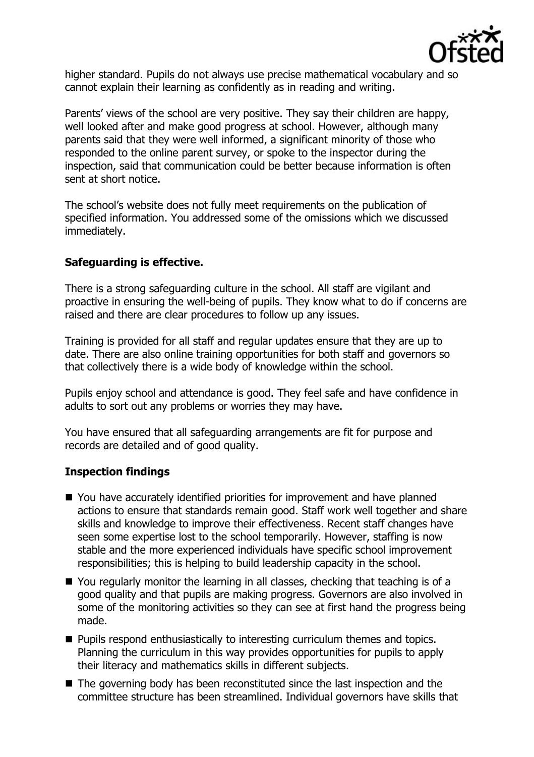

higher standard. Pupils do not always use precise mathematical vocabulary and so cannot explain their learning as confidently as in reading and writing.

Parents' views of the school are very positive. They say their children are happy, well looked after and make good progress at school. However, although many parents said that they were well informed, a significant minority of those who responded to the online parent survey, or spoke to the inspector during the inspection, said that communication could be better because information is often sent at short notice.

The school's website does not fully meet requirements on the publication of specified information. You addressed some of the omissions which we discussed immediately.

# **Safeguarding is effective.**

There is a strong safeguarding culture in the school. All staff are vigilant and proactive in ensuring the well-being of pupils. They know what to do if concerns are raised and there are clear procedures to follow up any issues.

Training is provided for all staff and regular updates ensure that they are up to date. There are also online training opportunities for both staff and governors so that collectively there is a wide body of knowledge within the school.

Pupils enjoy school and attendance is good. They feel safe and have confidence in adults to sort out any problems or worries they may have.

You have ensured that all safeguarding arrangements are fit for purpose and records are detailed and of good quality.

# **Inspection findings**

- You have accurately identified priorities for improvement and have planned actions to ensure that standards remain good. Staff work well together and share skills and knowledge to improve their effectiveness. Recent staff changes have seen some expertise lost to the school temporarily. However, staffing is now stable and the more experienced individuals have specific school improvement responsibilities; this is helping to build leadership capacity in the school.
- You regularly monitor the learning in all classes, checking that teaching is of a good quality and that pupils are making progress. Governors are also involved in some of the monitoring activities so they can see at first hand the progress being made.
- **Pupils respond enthusiastically to interesting curriculum themes and topics.** Planning the curriculum in this way provides opportunities for pupils to apply their literacy and mathematics skills in different subjects.
- The governing body has been reconstituted since the last inspection and the committee structure has been streamlined. Individual governors have skills that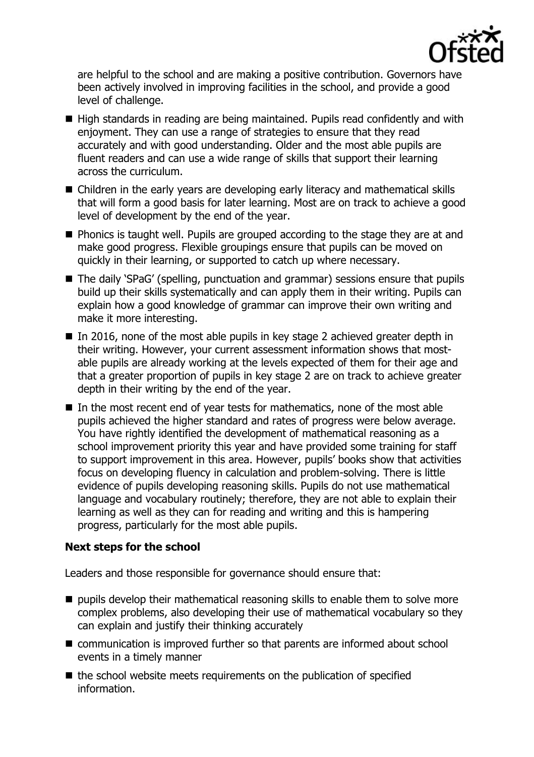

are helpful to the school and are making a positive contribution. Governors have been actively involved in improving facilities in the school, and provide a good level of challenge.

- High standards in reading are being maintained. Pupils read confidently and with enjoyment. They can use a range of strategies to ensure that they read accurately and with good understanding. Older and the most able pupils are fluent readers and can use a wide range of skills that support their learning across the curriculum.
- Children in the early years are developing early literacy and mathematical skills that will form a good basis for later learning. Most are on track to achieve a good level of development by the end of the year.
- **Phonics is taught well. Pupils are grouped according to the stage they are at and** make good progress. Flexible groupings ensure that pupils can be moved on quickly in their learning, or supported to catch up where necessary.
- The daily 'SPaG' (spelling, punctuation and grammar) sessions ensure that pupils build up their skills systematically and can apply them in their writing. Pupils can explain how a good knowledge of grammar can improve their own writing and make it more interesting.
- In 2016, none of the most able pupils in key stage 2 achieved greater depth in their writing. However, your current assessment information shows that mostable pupils are already working at the levels expected of them for their age and that a greater proportion of pupils in key stage 2 are on track to achieve greater depth in their writing by the end of the year.
- In the most recent end of year tests for mathematics, none of the most able pupils achieved the higher standard and rates of progress were below average. You have rightly identified the development of mathematical reasoning as a school improvement priority this year and have provided some training for staff to support improvement in this area. However, pupils' books show that activities focus on developing fluency in calculation and problem-solving. There is little evidence of pupils developing reasoning skills. Pupils do not use mathematical language and vocabulary routinely; therefore, they are not able to explain their learning as well as they can for reading and writing and this is hampering progress, particularly for the most able pupils.

## **Next steps for the school**

Leaders and those responsible for governance should ensure that:

- $\blacksquare$  pupils develop their mathematical reasoning skills to enable them to solve more complex problems, also developing their use of mathematical vocabulary so they can explain and justify their thinking accurately
- communication is improved further so that parents are informed about school events in a timely manner
- $\blacksquare$  the school website meets requirements on the publication of specified information.